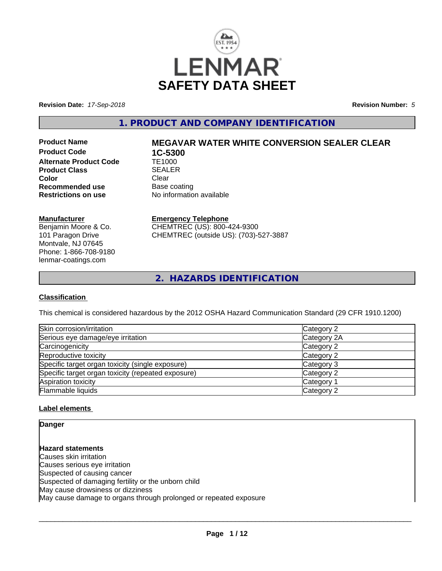

**Revision Date:** *17-Sep-2018* **Revision Number:** *5*

**1. PRODUCT AND COMPANY IDENTIFICATION**

**Product Code 1C-5300<br>Alternate Product Code 1E1000 Alternate Product Code Product Class**<br> **Color**Clear
Color
Clear
Clear
Clear
Clear
Clear
Clear
Clear
Clear
Clear
Clear
Clear
Clear
Clear
Clear
Clear
Clear
Clear
Clear
Clear
Clear
Clear
Clear
Clear
Clear
Clear
Clear
Clear
Clear
Clear
Clear
Clear **Color** Clear Clear **Recommended use** Base coating<br> **Restrictions on use** No information

# **Product Name MEGAVAR WATER WHITE CONVERSION SEALER CLEAR**

**No information available** 

#### **Manufacturer**

Benjamin Moore & Co. 101 Paragon Drive Montvale, NJ 07645 Phone: 1-866-708-9180 lenmar-coatings.com

# **Emergency Telephone**

CHEMTREC (US): 800-424-9300 CHEMTREC (outside US): (703)-527-3887

**2. HAZARDS IDENTIFICATION**

### **Classification**

This chemical is considered hazardous by the 2012 OSHA Hazard Communication Standard (29 CFR 1910.1200)

| Skin corrosion/irritation                          | Category 2  |
|----------------------------------------------------|-------------|
| Serious eye damage/eye irritation                  | Category 2A |
| Carcinogenicity                                    | Category 2  |
| Reproductive toxicity                              | Category 2  |
| Specific target organ toxicity (single exposure)   | Category 3  |
| Specific target organ toxicity (repeated exposure) | Category 2  |
| Aspiration toxicity                                | Category 1  |
| Flammable liquids                                  | Category 2  |

### **Label elements**

**Danger**

**Hazard statements** Causes skin irritation Causes serious eye irritation Suspected of causing cancer Suspected of damaging fertility or the unborn child May cause drowsiness or dizziness May cause damage to organs through prolonged or repeated exposure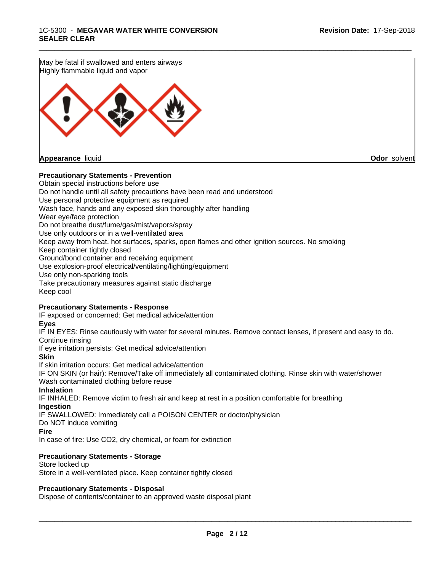May be fatal if swallowed and enters airways Highly flammable liquid and vapor **Appearance** liquid **Odor** solvent

### **Precautionary Statements - Prevention**

Obtain special instructions before use Do not handle until all safety precautions have been read and understood Use personal protective equipment as required Wash face, hands and any exposed skin thoroughly after handling Wear eye/face protection Do not breathe dust/fume/gas/mist/vapors/spray Use only outdoors or in a well-ventilated area Keep away from heat, hot surfaces, sparks, open flames and other ignition sources. No smoking Keep container tightly closed Ground/bond container and receiving equipment Use explosion-proof electrical/ventilating/lighting/equipment Use only non-sparking tools Take precautionary measures against static discharge Keep cool

### **Precautionary Statements - Response**

IF exposed or concerned: Get medical advice/attention

#### **Eyes**

IF IN EYES: Rinse cautiously with water for several minutes. Remove contact lenses, if present and easy to do. Continue rinsing

\_\_\_\_\_\_\_\_\_\_\_\_\_\_\_\_\_\_\_\_\_\_\_\_\_\_\_\_\_\_\_\_\_\_\_\_\_\_\_\_\_\_\_\_\_\_\_\_\_\_\_\_\_\_\_\_\_\_\_\_\_\_\_\_\_\_\_\_\_\_\_\_\_\_\_\_\_\_\_\_\_\_\_\_\_\_\_\_\_\_\_\_\_

If eye irritation persists: Get medical advice/attention

**Skin**

If skin irritation occurs: Get medical advice/attention IF ON SKIN (or hair): Remove/Take off immediately all contaminated clothing. Rinse skin with water/shower Wash contaminated clothing before reuse

#### **Inhalation**

IF INHALED: Remove victim to fresh air and keep at rest in a position comfortable for breathing **Ingestion**

IF SWALLOWED: Immediately call a POISON CENTER or doctor/physician

Do NOT induce vomiting

#### **Fire**

In case of fire: Use CO2, dry chemical, or foam for extinction

#### **Precautionary Statements - Storage**

Store locked up Store in a well-ventilated place. Keep container tightly closed

#### **Precautionary Statements - Disposal**

Dispose of contents/container to an approved waste disposal plant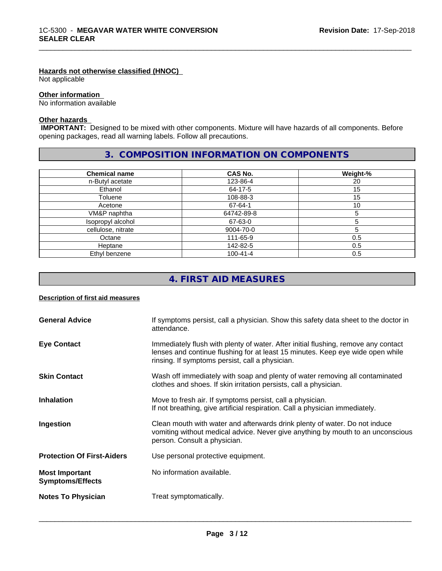### **Hazards not otherwise classified (HNOC)**

Not applicable

#### **Other information**

No information available

## **Other hazards**

 **IMPORTANT:** Designed to be mixed with other components. Mixture will have hazards of all components. Before opening packages, read all warning labels. Follow all precautions.

\_\_\_\_\_\_\_\_\_\_\_\_\_\_\_\_\_\_\_\_\_\_\_\_\_\_\_\_\_\_\_\_\_\_\_\_\_\_\_\_\_\_\_\_\_\_\_\_\_\_\_\_\_\_\_\_\_\_\_\_\_\_\_\_\_\_\_\_\_\_\_\_\_\_\_\_\_\_\_\_\_\_\_\_\_\_\_\_\_\_\_\_\_

# **3. COMPOSITION INFORMATION ON COMPONENTS**

| <b>Chemical name</b> | CAS No.        | Weight-% |
|----------------------|----------------|----------|
| n-Butyl acetate      | 123-86-4       | 20       |
| Ethanol              | 64-17-5        | 15       |
| Toluene              | 108-88-3       | 15       |
| Acetone              | 67-64-1        | 10       |
| VM&P naphtha         | 64742-89-8     |          |
| Isopropyl alcohol    | 67-63-0        |          |
| cellulose, nitrate   | 9004-70-0      |          |
| Octane               | 111-65-9       | 0.5      |
| Heptane              | 142-82-5       | 0.5      |
| Ethyl benzene        | $100 - 41 - 4$ | 0.5      |

# **4. FIRST AID MEASURES**

### **Description of first aid measures**

| <b>General Advice</b>                            | If symptoms persist, call a physician. Show this safety data sheet to the doctor in<br>attendance.                                                                                                                      |
|--------------------------------------------------|-------------------------------------------------------------------------------------------------------------------------------------------------------------------------------------------------------------------------|
| <b>Eye Contact</b>                               | Immediately flush with plenty of water. After initial flushing, remove any contact<br>lenses and continue flushing for at least 15 minutes. Keep eye wide open while<br>rinsing. If symptoms persist, call a physician. |
| <b>Skin Contact</b>                              | Wash off immediately with soap and plenty of water removing all contaminated<br>clothes and shoes. If skin irritation persists, call a physician.                                                                       |
| <b>Inhalation</b>                                | Move to fresh air. If symptoms persist, call a physician.<br>If not breathing, give artificial respiration. Call a physician immediately.                                                                               |
| Ingestion                                        | Clean mouth with water and afterwards drink plenty of water. Do not induce<br>vomiting without medical advice. Never give anything by mouth to an unconscious<br>person. Consult a physician.                           |
| <b>Protection Of First-Aiders</b>                | Use personal protective equipment.                                                                                                                                                                                      |
| <b>Most Important</b><br><b>Symptoms/Effects</b> | No information available.                                                                                                                                                                                               |
| <b>Notes To Physician</b>                        | Treat symptomatically.                                                                                                                                                                                                  |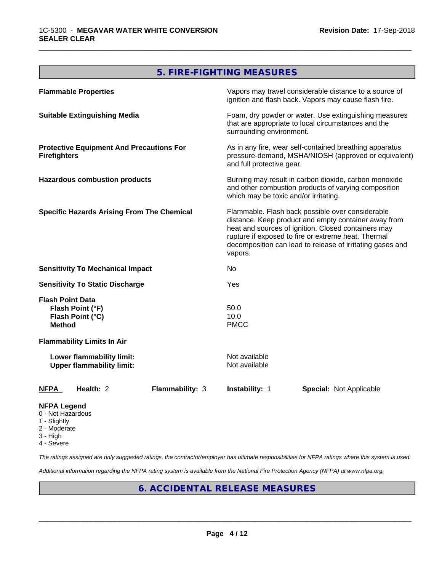# **5. FIRE-FIGHTING MEASURES**

\_\_\_\_\_\_\_\_\_\_\_\_\_\_\_\_\_\_\_\_\_\_\_\_\_\_\_\_\_\_\_\_\_\_\_\_\_\_\_\_\_\_\_\_\_\_\_\_\_\_\_\_\_\_\_\_\_\_\_\_\_\_\_\_\_\_\_\_\_\_\_\_\_\_\_\_\_\_\_\_\_\_\_\_\_\_\_\_\_\_\_\_\_

| <b>Flammable Properties</b>                                                      |                        |                                                                                                                                                                                                                                                                                                | Vapors may travel considerable distance to a source of<br>ignition and flash back. Vapors may cause flash fire. |  |
|----------------------------------------------------------------------------------|------------------------|------------------------------------------------------------------------------------------------------------------------------------------------------------------------------------------------------------------------------------------------------------------------------------------------|-----------------------------------------------------------------------------------------------------------------|--|
| <b>Suitable Extinguishing Media</b>                                              |                        | surrounding environment.                                                                                                                                                                                                                                                                       | Foam, dry powder or water. Use extinguishing measures<br>that are appropriate to local circumstances and the    |  |
| <b>Protective Equipment And Precautions For</b><br><b>Firefighters</b>           |                        | and full protective gear.                                                                                                                                                                                                                                                                      | As in any fire, wear self-contained breathing apparatus<br>pressure-demand, MSHA/NIOSH (approved or equivalent) |  |
| <b>Hazardous combustion products</b>                                             |                        | which may be toxic and/or irritating.                                                                                                                                                                                                                                                          | Burning may result in carbon dioxide, carbon monoxide<br>and other combustion products of varying composition   |  |
| <b>Specific Hazards Arising From The Chemical</b>                                |                        | Flammable. Flash back possible over considerable<br>distance. Keep product and empty container away from<br>heat and sources of ignition. Closed containers may<br>rupture if exposed to fire or extreme heat. Thermal<br>decomposition can lead to release of irritating gases and<br>vapors. |                                                                                                                 |  |
| <b>Sensitivity To Mechanical Impact</b>                                          |                        | No                                                                                                                                                                                                                                                                                             |                                                                                                                 |  |
| <b>Sensitivity To Static Discharge</b>                                           |                        | Yes                                                                                                                                                                                                                                                                                            |                                                                                                                 |  |
| <b>Flash Point Data</b><br>Flash Point (°F)<br>Flash Point (°C)<br><b>Method</b> |                        | 50.0<br>10.0<br><b>PMCC</b>                                                                                                                                                                                                                                                                    |                                                                                                                 |  |
| <b>Flammability Limits In Air</b>                                                |                        |                                                                                                                                                                                                                                                                                                |                                                                                                                 |  |
| Lower flammability limit:<br><b>Upper flammability limit:</b>                    |                        | Not available<br>Not available                                                                                                                                                                                                                                                                 |                                                                                                                 |  |
| Health: 2<br><b>NFPA</b>                                                         | <b>Flammability: 3</b> | Instability: 1                                                                                                                                                                                                                                                                                 | <b>Special: Not Applicable</b>                                                                                  |  |
| <b>NFPA Legend</b>                                                               |                        |                                                                                                                                                                                                                                                                                                |                                                                                                                 |  |

- 0 Not Hazardous
- 1 Slightly
- 2 Moderate
- 3 High
- 4 Severe

*The ratings assigned are only suggested ratings, the contractor/employer has ultimate responsibilities for NFPA ratings where this system is used.*

*Additional information regarding the NFPA rating system is available from the National Fire Protection Agency (NFPA) at www.nfpa.org.*

# **6. ACCIDENTAL RELEASE MEASURES**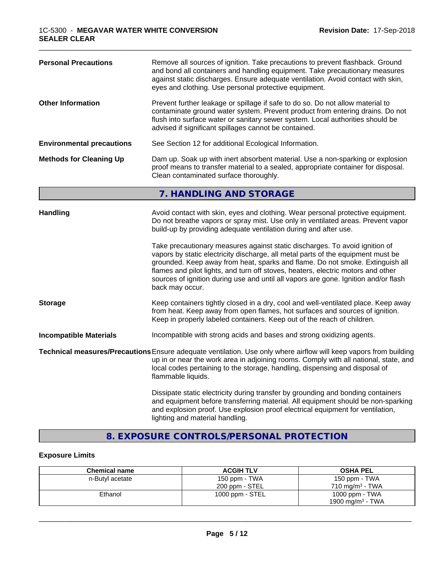| <b>Personal Precautions</b>                                                                                                                                                                                                                     | Remove all sources of ignition. Take precautions to prevent flashback. Ground<br>and bond all containers and handling equipment. Take precautionary measures<br>against static discharges. Ensure adequate ventilation. Avoid contact with skin,<br>eyes and clothing. Use personal protective equipment.                                                                                                                                      |
|-------------------------------------------------------------------------------------------------------------------------------------------------------------------------------------------------------------------------------------------------|------------------------------------------------------------------------------------------------------------------------------------------------------------------------------------------------------------------------------------------------------------------------------------------------------------------------------------------------------------------------------------------------------------------------------------------------|
| <b>Other Information</b>                                                                                                                                                                                                                        | Prevent further leakage or spillage if safe to do so. Do not allow material to<br>contaminate ground water system. Prevent product from entering drains. Do not<br>flush into surface water or sanitary sewer system. Local authorities should be<br>advised if significant spillages cannot be contained.                                                                                                                                     |
| <b>Environmental precautions</b>                                                                                                                                                                                                                | See Section 12 for additional Ecological Information.                                                                                                                                                                                                                                                                                                                                                                                          |
| Dam up. Soak up with inert absorbent material. Use a non-sparking or explosion<br><b>Methods for Cleaning Up</b><br>proof means to transfer material to a sealed, appropriate container for disposal.<br>Clean contaminated surface thoroughly. |                                                                                                                                                                                                                                                                                                                                                                                                                                                |
|                                                                                                                                                                                                                                                 | 7. HANDLING AND STORAGE                                                                                                                                                                                                                                                                                                                                                                                                                        |
| <b>Handling</b>                                                                                                                                                                                                                                 | Avoid contact with skin, eyes and clothing. Wear personal protective equipment.<br>Do not breathe vapors or spray mist. Use only in ventilated areas. Prevent vapor<br>build-up by providing adequate ventilation during and after use.                                                                                                                                                                                                        |
|                                                                                                                                                                                                                                                 | Take precautionary measures against static discharges. To avoid ignition of<br>vapors by static electricity discharge, all metal parts of the equipment must be<br>grounded. Keep away from heat, sparks and flame. Do not smoke. Extinguish all<br>flames and pilot lights, and turn off stoves, heaters, electric motors and other<br>sources of ignition during use and until all vapors are gone. Ignition and/or flash<br>back may occur. |
| <b>Storage</b>                                                                                                                                                                                                                                  | Keep containers tightly closed in a dry, cool and well-ventilated place. Keep away<br>from heat. Keep away from open flames, hot surfaces and sources of ignition.<br>Keep in properly labeled containers. Keep out of the reach of children.                                                                                                                                                                                                  |
| <b>Incompatible Materials</b>                                                                                                                                                                                                                   | Incompatible with strong acids and bases and strong oxidizing agents.                                                                                                                                                                                                                                                                                                                                                                          |
|                                                                                                                                                                                                                                                 | Technical measures/Precautions Ensure adequate ventilation. Use only where airflow will keep vapors from building<br>up in or near the work area in adjoining rooms. Comply with all national, state, and<br>local codes pertaining to the storage, handling, dispensing and disposal of<br>flammable liquids.                                                                                                                                 |
|                                                                                                                                                                                                                                                 | Dissipate static electricity during transfer by grounding and bonding containers<br>and equipment before transferring material. All equipment should be non-sparking<br>and explosion proof. Use explosion proof electrical equipment for ventilation,<br>lighting and material handling.                                                                                                                                                      |

\_\_\_\_\_\_\_\_\_\_\_\_\_\_\_\_\_\_\_\_\_\_\_\_\_\_\_\_\_\_\_\_\_\_\_\_\_\_\_\_\_\_\_\_\_\_\_\_\_\_\_\_\_\_\_\_\_\_\_\_\_\_\_\_\_\_\_\_\_\_\_\_\_\_\_\_\_\_\_\_\_\_\_\_\_\_\_\_\_\_\_\_\_

# **8. EXPOSURE CONTROLS/PERSONAL PROTECTION**

# **Exposure Limits**

| <b>Chemical name</b> | <b>ACGIH TLV</b>  | <b>OSHA PEL</b>              |
|----------------------|-------------------|------------------------------|
| n-Butyl acetate      | 150 ppm - TWA     | 150 ppm - TWA                |
|                      | 200 ppm - STEL    | 710 mg/m <sup>3</sup> - TWA  |
| Ethanol              | 1000 ppm - $STEL$ | 1000 ppm - TWA               |
|                      |                   | 1900 mg/m <sup>3</sup> - TWA |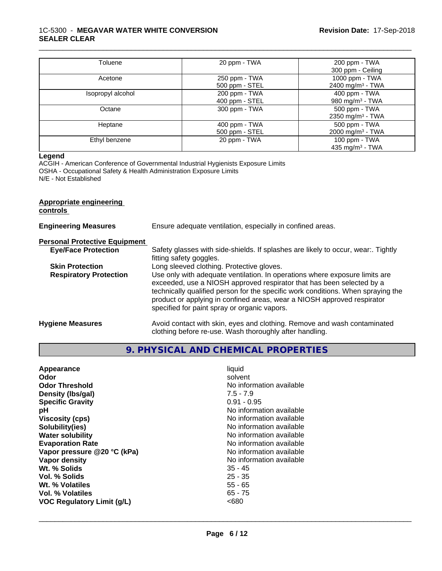#### 1C-5300 - **MEGAVAR WATER WHITE CONVERSION SEALER CLEAR**

| Toluene           | 20 ppm - TWA   | 200 ppm - TWA                |
|-------------------|----------------|------------------------------|
|                   |                | 300 ppm - Ceiling            |
| Acetone           | 250 ppm - TWA  | 1000 ppm - TWA               |
|                   | 500 ppm - STEL | 2400 mg/m <sup>3</sup> - TWA |
| Isopropyl alcohol | 200 ppm - TWA  | 400 ppm - TWA                |
|                   | 400 ppm - STEL | 980 mg/m $3$ - TWA           |
| Octane            | 300 ppm - TWA  | 500 ppm - TWA                |
|                   |                | 2350 mg/m <sup>3</sup> - TWA |
| Heptane           | 400 ppm - TWA  | 500 ppm - TWA                |
|                   | 500 ppm - STEL | 2000 mg/m <sup>3</sup> - TWA |
| Ethyl benzene     | 20 ppm - TWA   | 100 ppm - $TWA$              |
|                   |                | 435 mg/m <sup>3</sup> - TWA  |

\_\_\_\_\_\_\_\_\_\_\_\_\_\_\_\_\_\_\_\_\_\_\_\_\_\_\_\_\_\_\_\_\_\_\_\_\_\_\_\_\_\_\_\_\_\_\_\_\_\_\_\_\_\_\_\_\_\_\_\_\_\_\_\_\_\_\_\_\_\_\_\_\_\_\_\_\_\_\_\_\_\_\_\_\_\_\_\_\_\_\_\_\_

#### **Legend**

ACGIH - American Conference of Governmental Industrial Hygienists Exposure Limits OSHA - Occupational Safety & Health Administration Exposure Limits N/E - Not Established

# **Appropriate engineering controls Engineering Measures** Ensure adequate ventilation, especially in confined areas. **Personal Protective Equipment**<br> **Eye/Face Protection** Safety glasses with side-shields. If splashes are likely to occur, wear:. Tightly fitting safety goggles. **Skin Protection** Long sleeved clothing. Protective gloves. **Respiratory Protection** Use only with adequate ventilation. In operations where exposure limits are exceeded, use a NIOSH approved respirator that has been selected by a technically qualified person for the specific work conditions. When spraying the product or applying in confined areas, wear a NIOSH approved respirator specified for paint spray or organic vapors. **Hygiene Measures** Avoid contact with skin, eyes and clothing. Remove and wash contaminated clothing before re-use. Wash thoroughly after handling.

# **9. PHYSICAL AND CHEMICAL PROPERTIES**

| Appearance                  | liquid                   |
|-----------------------------|--------------------------|
| Odor                        | solvent                  |
| <b>Odor Threshold</b>       | No information available |
| Density (Ibs/gal)           | $7.5 - 7.9$              |
| <b>Specific Gravity</b>     | $0.91 - 0.95$            |
| рH                          | No information available |
| <b>Viscosity (cps)</b>      | No information available |
| Solubility(ies)             | No information available |
| <b>Water solubility</b>     | No information available |
| <b>Evaporation Rate</b>     | No information available |
| Vapor pressure @20 °C (kPa) | No information available |
| Vapor density               | No information available |
| Wt. % Solids                | $35 - 45$                |
| Vol. % Solids               | $25 - 35$                |
| Wt. % Volatiles             | $55 - 65$                |
| Vol. % Volatiles            | $65 - 75$                |
| VOC Regulatory Limit (g/L)  | <680                     |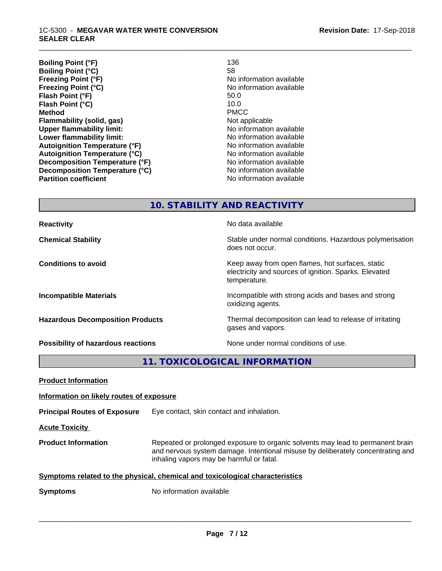| 136                      |
|--------------------------|
| 58                       |
| No information available |
| No information available |
| 50.0                     |
| 10.0                     |
| <b>PMCC</b>              |
| Not applicable           |
| No information available |
| No information available |
| No information available |
| No information available |
| No information available |
| No information available |
| No information available |
|                          |

\_\_\_\_\_\_\_\_\_\_\_\_\_\_\_\_\_\_\_\_\_\_\_\_\_\_\_\_\_\_\_\_\_\_\_\_\_\_\_\_\_\_\_\_\_\_\_\_\_\_\_\_\_\_\_\_\_\_\_\_\_\_\_\_\_\_\_\_\_\_\_\_\_\_\_\_\_\_\_\_\_\_\_\_\_\_\_\_\_\_\_\_\_

**10. STABILITY AND REACTIVITY**

**Reactivity No data available No data available Chemical Stability Stability** Stable under normal conditions. Hazardous polymerisation does not occur. **Conditions to avoid Conditions to avoid Conditions keep** away from open flames, hot surfaces, static electricity and sources of ignition. Sparks. Elevated temperature. **Incompatible Materials Incompatible with strong acids and bases and strong** oxidizing agents. **Hazardous Decomposition Products** Thermal decomposition can lead to release of irritating gases and vapors. **Possibility of hazardous reactions** None under normal conditions of use.

**11. TOXICOLOGICAL INFORMATION**

| <b>Product Information</b>                                                   |                                                                                                                                                                                                               |  |
|------------------------------------------------------------------------------|---------------------------------------------------------------------------------------------------------------------------------------------------------------------------------------------------------------|--|
| Information on likely routes of exposure                                     |                                                                                                                                                                                                               |  |
| <b>Principal Routes of Exposure</b>                                          | Eye contact, skin contact and inhalation.                                                                                                                                                                     |  |
| <b>Acute Toxicity</b>                                                        |                                                                                                                                                                                                               |  |
| <b>Product Information</b>                                                   | Repeated or prolonged exposure to organic solvents may lead to permanent brain<br>and nervous system damage. Intentional misuse by deliberately concentrating and<br>inhaling vapors may be harmful or fatal. |  |
| Symptoms related to the physical, chemical and toxicological characteristics |                                                                                                                                                                                                               |  |
| <b>Symptoms</b>                                                              | No information available                                                                                                                                                                                      |  |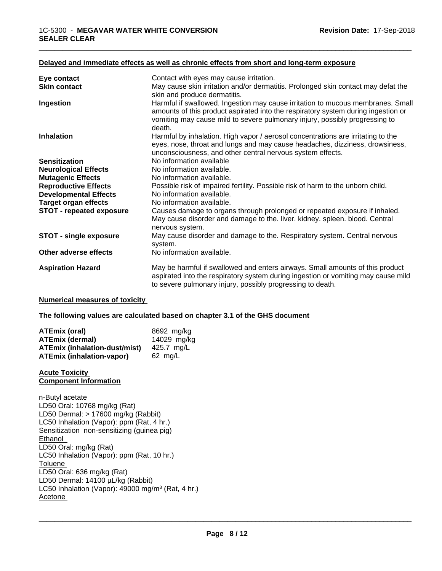| Eye contact<br><b>Skin contact</b> | Contact with eyes may cause irritation.<br>May cause skin irritation and/or dermatitis. Prolonged skin contact may defat the                                                                                                                                  |
|------------------------------------|---------------------------------------------------------------------------------------------------------------------------------------------------------------------------------------------------------------------------------------------------------------|
|                                    | skin and produce dermatitis.                                                                                                                                                                                                                                  |
| Ingestion                          | Harmful if swallowed. Ingestion may cause irritation to mucous membranes. Small<br>amounts of this product aspirated into the respiratory system during ingestion or<br>vomiting may cause mild to severe pulmonary injury, possibly progressing to<br>death. |
| <b>Inhalation</b>                  | Harmful by inhalation. High vapor / aerosol concentrations are irritating to the<br>eyes, nose, throat and lungs and may cause headaches, dizziness, drowsiness,<br>unconsciousness, and other central nervous system effects.                                |
| <b>Sensitization</b>               | No information available                                                                                                                                                                                                                                      |
| <b>Neurological Effects</b>        | No information available.                                                                                                                                                                                                                                     |
| <b>Mutagenic Effects</b>           | No information available.                                                                                                                                                                                                                                     |
| <b>Reproductive Effects</b>        | Possible risk of impaired fertility. Possible risk of harm to the unborn child.                                                                                                                                                                               |
| <b>Developmental Effects</b>       | No information available.                                                                                                                                                                                                                                     |
| <b>Target organ effects</b>        | No information available.                                                                                                                                                                                                                                     |
| <b>STOT - repeated exposure</b>    | Causes damage to organs through prolonged or repeated exposure if inhaled.<br>May cause disorder and damage to the. liver. kidney. spleen. blood. Central<br>nervous system.                                                                                  |
| <b>STOT - single exposure</b>      | May cause disorder and damage to the. Respiratory system. Central nervous<br>system.                                                                                                                                                                          |
| Other adverse effects              | No information available.                                                                                                                                                                                                                                     |
| <b>Aspiration Hazard</b>           | May be harmful if swallowed and enters airways. Small amounts of this product<br>aspirated into the respiratory system during ingestion or vomiting may cause mild<br>to severe pulmonary injury, possibly progressing to death.                              |

#### **Delayed and immediate effects as well as chronic effects from short and long-term exposure**

#### **Numerical measures of toxicity**

#### **The following values are calculated based on chapter 3.1 of the GHS document**

| ATEmix (oral)                        | 8692 mg/ka        |
|--------------------------------------|-------------------|
| <b>ATEmix (dermal)</b>               | 14029 mg/kg       |
| <b>ATEmix (inhalation-dust/mist)</b> | 425.7 mg/L        |
| <b>ATEmix (inhalation-vapor)</b>     | $62 \text{ mg/L}$ |

#### **Acute Toxicity Component Information**

n-Butyl acetate LD50 Oral: 10768 mg/kg (Rat) LD50 Dermal: > 17600 mg/kg (Rabbit) LC50 Inhalation (Vapor): ppm (Rat, 4 hr.) Sensitization non-sensitizing (guinea pig) Ethanol LD50 Oral: mg/kg (Rat) LC50 Inhalation (Vapor): ppm (Rat, 10 hr.) Toluene LD50 Oral: 636 mg/kg (Rat) LD50 Dermal: 14100 µL/kg (Rabbit) LC50 Inhalation (Vapor): 49000 mg/m<sup>3</sup> (Rat, 4 hr.) Acetone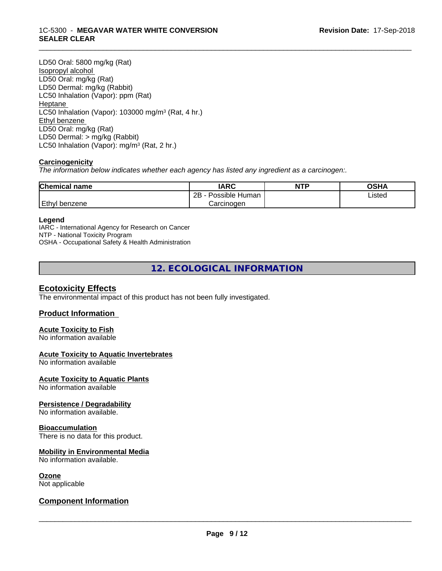#### 1C-5300 - **MEGAVAR WATER WHITE CONVERSION SEALER CLEAR**

LD50 Oral: 5800 mg/kg (Rat) Isopropyl alcohol LD50 Oral: mg/kg (Rat) LD50 Dermal: mg/kg (Rabbit) LC50 Inhalation (Vapor): ppm (Rat) Heptane LC50 Inhalation (Vapor): 103000 mg/m<sup>3</sup> (Rat, 4 hr.) Ethyl benzene LD50 Oral: mg/kg (Rat) LD50 Dermal: > mg/kg (Rabbit) LC50 Inhalation (Vapor): mg/m<sup>3</sup> (Rat, 2 hr.)

# **Carcinogenicity**

*The information below indicateswhether each agency has listed any ingredient as a carcinogen:.*

| <b>Chemical name</b> | <b>IARC</b>                      | <b>NTP</b> | <b>OCU</b><br>יוחט |  |
|----------------------|----------------------------------|------------|--------------------|--|
|                      | . .<br>2B<br>Possible<br>: Human |            | Listed             |  |
| Ethyl<br>∣benzene    | Carcinogen                       |            |                    |  |

\_\_\_\_\_\_\_\_\_\_\_\_\_\_\_\_\_\_\_\_\_\_\_\_\_\_\_\_\_\_\_\_\_\_\_\_\_\_\_\_\_\_\_\_\_\_\_\_\_\_\_\_\_\_\_\_\_\_\_\_\_\_\_\_\_\_\_\_\_\_\_\_\_\_\_\_\_\_\_\_\_\_\_\_\_\_\_\_\_\_\_\_\_

### **Legend**

IARC - International Agency for Research on Cancer NTP - National Toxicity Program OSHA - Occupational Safety & Health Administration

**12. ECOLOGICAL INFORMATION**

# **Ecotoxicity Effects**

The environmental impact of this product has not been fully investigated.

# **Product Information**

# **Acute Toxicity to Fish**

No information available

## **Acute Toxicity to Aquatic Invertebrates**

No information available

### **Acute Toxicity to Aquatic Plants**

No information available

### **Persistence / Degradability**

No information available.

### **Bioaccumulation**

There is no data for this product.

# **Mobility in Environmental Media**

No information available.

### **Ozone**

Not applicable

# **Component Information**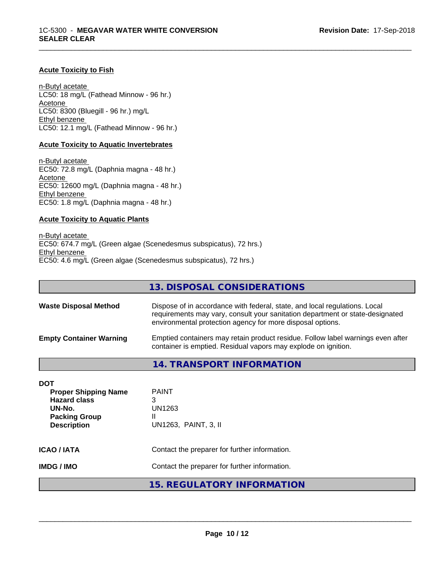#### **Acute Toxicity to Fish**

n-Butyl acetate LC50: 18 mg/L (Fathead Minnow - 96 hr.) Acetone LC50: 8300 (Bluegill - 96 hr.) mg/L Ethyl benzene LC50: 12.1 mg/L (Fathead Minnow - 96 hr.)

#### **Acute Toxicity to Aquatic Invertebrates**

n-Butyl acetate EC50: 72.8 mg/L (Daphnia magna - 48 hr.) Acetone EC50: 12600 mg/L (Daphnia magna - 48 hr.) Ethyl benzene EC50: 1.8 mg/L (Daphnia magna - 48 hr.)

#### **Acute Toxicity to Aquatic Plants**

n-Butyl acetate EC50: 674.7 mg/L (Green algae (Scenedesmus subspicatus), 72 hrs.) Ethyl benzene EC50: 4.6 mg/L (Green algae (Scenedesmus subspicatus), 72 hrs.)

|                                | 13. DISPOSAL CONSIDERATIONS                                                                                                                                                                                               |
|--------------------------------|---------------------------------------------------------------------------------------------------------------------------------------------------------------------------------------------------------------------------|
| <b>Waste Disposal Method</b>   | Dispose of in accordance with federal, state, and local regulations. Local<br>requirements may vary, consult your sanitation department or state-designated<br>environmental protection agency for more disposal options. |
| <b>Empty Container Warning</b> | Emptied containers may retain product residue. Follow label warnings even after<br>container is emptied. Residual vapors may explode on ignition.                                                                         |
|                                | 14. TRANSPORT INFORMATION                                                                                                                                                                                                 |

\_\_\_\_\_\_\_\_\_\_\_\_\_\_\_\_\_\_\_\_\_\_\_\_\_\_\_\_\_\_\_\_\_\_\_\_\_\_\_\_\_\_\_\_\_\_\_\_\_\_\_\_\_\_\_\_\_\_\_\_\_\_\_\_\_\_\_\_\_\_\_\_\_\_\_\_\_\_\_\_\_\_\_\_\_\_\_\_\_\_\_\_\_

| DOT                                                                                                        |                                                          |  |
|------------------------------------------------------------------------------------------------------------|----------------------------------------------------------|--|
| <b>Proper Shipping Name</b><br><b>Hazard class</b><br>UN-No.<br><b>Packing Group</b><br><b>Description</b> | <b>PAINT</b><br>3<br>UN1263<br>Ш<br>UN1263, PAINT, 3, II |  |
| ICAO / IATA<br>Contact the preparer for further information.                                               |                                                          |  |
| IMDG / IMO                                                                                                 | Contact the preparer for further information.            |  |
|                                                                                                            | <b>15. REGULATORY INFORMATION</b>                        |  |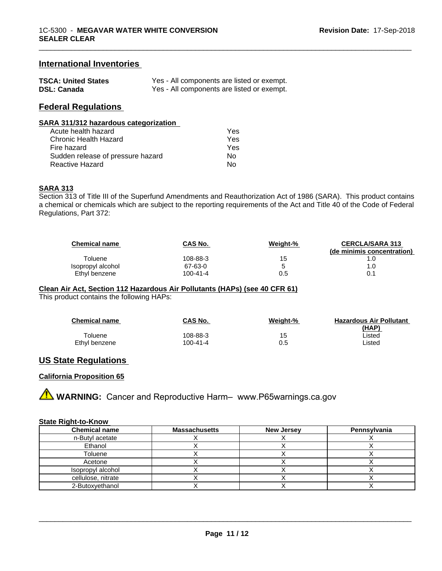## **International Inventories**

| <b>TSCA: United States</b> | Yes - All components are listed or exempt. |
|----------------------------|--------------------------------------------|
| <b>DSL: Canada</b>         | Yes - All components are listed or exempt. |

# **Federal Regulations**

#### **SARA 311/312 hazardous categorization**

| Acute health hazard               | Yes |
|-----------------------------------|-----|
| Chronic Health Hazard             | Yes |
| Fire hazard                       | Yes |
| Sudden release of pressure hazard | N٥  |
| Reactive Hazard                   | N٥  |

#### **SARA 313**

Section 313 of Title III of the Superfund Amendments and Reauthorization Act of 1986 (SARA). This product contains a chemical or chemicals which are subject to the reporting requirements of the Act and Title 40 of the Code of Federal Regulations, Part 372:

| <b>Chemical name</b> | <b>CAS No.</b> | Weight-% | <b>CERCLA/SARA 313</b><br>(de minimis concentration) |
|----------------------|----------------|----------|------------------------------------------------------|
| Toluene              | 108-88-3       | 15       |                                                      |
| Isopropyl alcohol    | 67-63-0        |          | 1.0                                                  |
| Ethyl benzene        | 100-41-4       | 0.5      | 0.1                                                  |

\_\_\_\_\_\_\_\_\_\_\_\_\_\_\_\_\_\_\_\_\_\_\_\_\_\_\_\_\_\_\_\_\_\_\_\_\_\_\_\_\_\_\_\_\_\_\_\_\_\_\_\_\_\_\_\_\_\_\_\_\_\_\_\_\_\_\_\_\_\_\_\_\_\_\_\_\_\_\_\_\_\_\_\_\_\_\_\_\_\_\_\_\_

#### **Clean Air Act,Section 112 Hazardous Air Pollutants (HAPs) (see 40 CFR 61)**

This product contains the following HAPs:

| <b>Chemical name</b> | CAS No.  | Weight-% | <b>Hazardous Air Pollutant</b> |
|----------------------|----------|----------|--------------------------------|
|                      |          |          | (HAP)                          |
| Toluene              | 108-88-3 | 15       | ∟isted                         |
| Ethyl benzene        | 100-41-4 | 0.5      | ∟isted                         |

### **US State Regulations**

### **California Proposition 65**

**AN** WARNING: Cancer and Reproductive Harm– www.P65warnings.ca.gov

#### **State Right-to-Know**

| <b>Chemical name</b> | <b>Massachusetts</b> | <b>New Jersey</b> | Pennsylvania |
|----------------------|----------------------|-------------------|--------------|
| n-Butyl acetate      |                      |                   |              |
| Ethanol              |                      |                   |              |
| Toluene              |                      |                   |              |
| Acetone              |                      |                   |              |
| Isopropyl alcohol    |                      |                   |              |
| cellulose, nitrate   |                      |                   |              |
| 2-Butoxyethanol      |                      |                   |              |